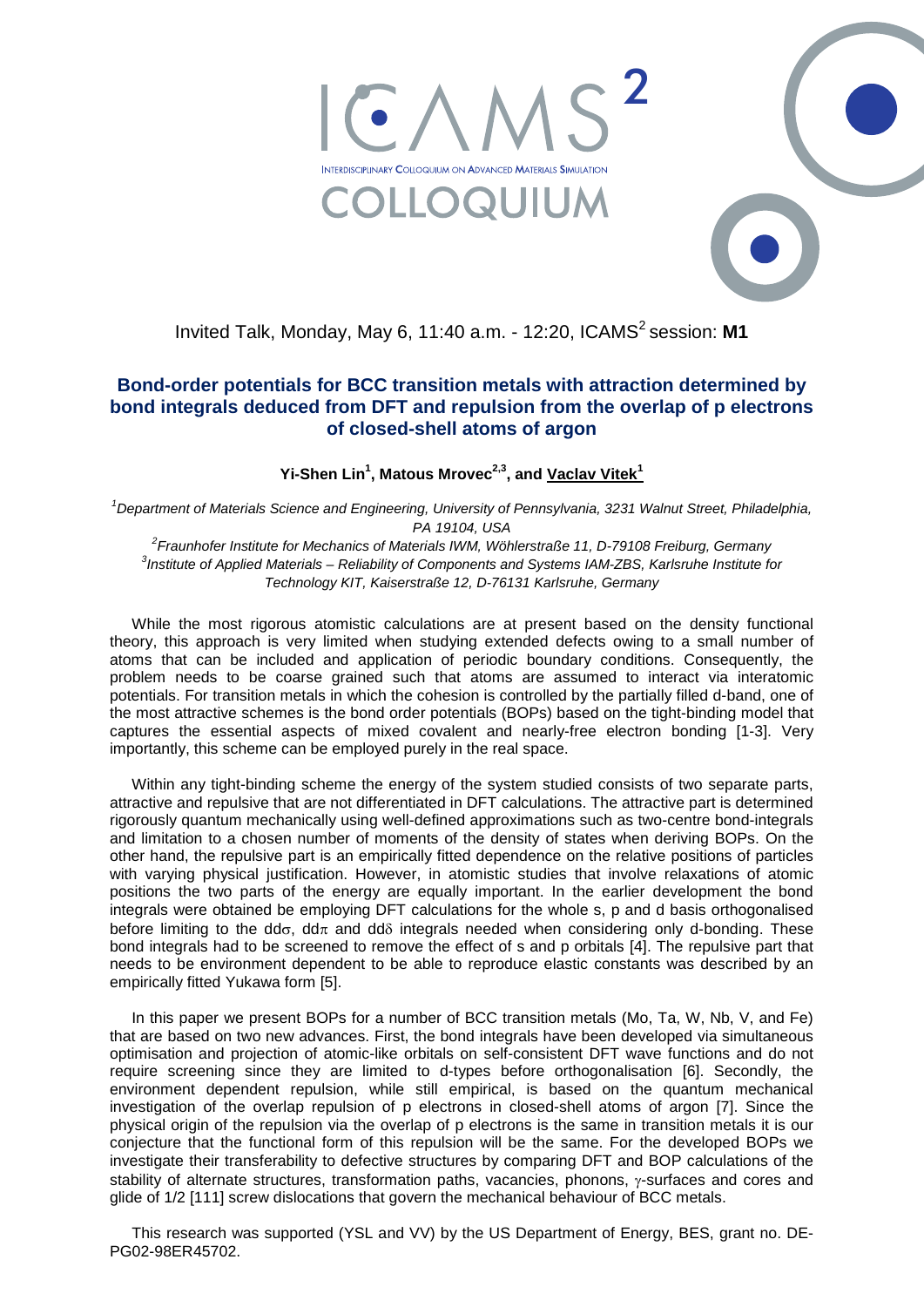



## **Bond-order potentials for BCC transition metals with attraction determined by bond integrals deduced from DFT and repulsion from the overlap of p electrons of closed-shell atoms of argon**

**Yi-Shen Lin<sup>1</sup> , Matous Mrovec2,3, and Vaclav Vitek<sup>1</sup>**

<sup>1</sup>Department of Materials Science and Engineering, University of Pennsylvania, 3231 Walnut Street, Philadelphia, *PA 19104, USA*

*2 Fraunhofer Institute for Mechanics of Materials IWM, Wöhlerstraße 11, D-79108 Freiburg, Germany 3 Institute of Applied Materials – Reliability of Components and Systems IAM-ZBS, Karlsruhe Institute for Technology KIT, Kaiserstraße 12, D-76131 Karlsruhe, Germany*

While the most rigorous atomistic calculations are at present based on the density functional theory, this approach is very limited when studying extended defects owing to a small number of atoms that can be included and application of periodic boundary conditions. Consequently, the problem needs to be coarse grained such that atoms are assumed to interact via interatomic potentials. For transition metals in which the cohesion is controlled by the partially filled d-band, one of the most attractive schemes is the bond order potentials (BOPs) based on the tight-binding model that captures the essential aspects of mixed covalent and nearly-free electron bonding [1-3]. Very importantly, this scheme can be employed purely in the real space.

Within any tight-binding scheme the energy of the system studied consists of two separate parts, attractive and repulsive that are not differentiated in DFT calculations. The attractive part is determined rigorously quantum mechanically using well-defined approximations such as two-centre bond-integrals and limitation to a chosen number of moments of the density of states when deriving BOPs. On the other hand, the repulsive part is an empirically fitted dependence on the relative positions of particles with varying physical justification. However, in atomistic studies that involve relaxations of atomic positions the two parts of the energy are equally important. In the earlier development the bond integrals were obtained be employing DFT calculations for the whole s, p and d basis orthogonalised before limiting to the dd $\sigma$ , dd $\pi$  and dd $\delta$  integrals needed when considering only d-bonding. These bond integrals had to be screened to remove the effect of s and p orbitals [4]. The repulsive part that needs to be environment dependent to be able to reproduce elastic constants was described by an empirically fitted Yukawa form [5].

In this paper we present BOPs for a number of BCC transition metals (Mo, Ta, W, Nb, V, and Fe) that are based on two new advances. First, the bond integrals have been developed via simultaneous optimisation and projection of atomic-like orbitals on self-consistent DFT wave functions and do not require screening since they are limited to d-types before orthogonalisation [6]. Secondly, the environment dependent repulsion, while still empirical, is based on the quantum mechanical investigation of the overlap repulsion of p electrons in closed-shell atoms of argon [7]. Since the physical origin of the repulsion via the overlap of p electrons is the same in transition metals it is our conjecture that the functional form of this repulsion will be the same. For the developed BOPs we investigate their transferability to defective structures by comparing DFT and BOP calculations of the stability of alternate structures, transformation paths, vacancies, phonons, γ-surfaces and cores and glide of 1/2 [111] screw dislocations that govern the mechanical behaviour of BCC metals.

This research was supported (YSL and VV) by the US Department of Energy, BES, grant no. DE-PG02-98ER45702.